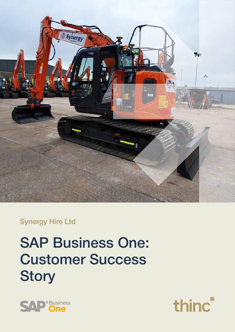

## Synergy Hire Ltd

# SAP Business One: Customer Success **Story**